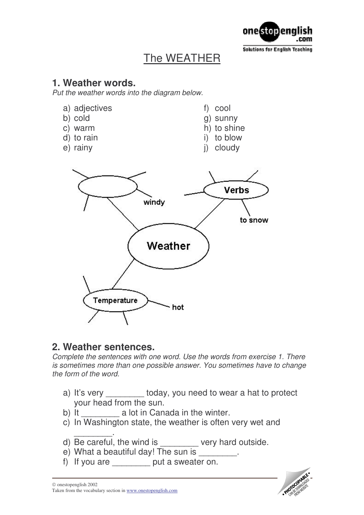

# The WEATHER

### **1. Weather words.**

*Put the weather words into the diagram below.*

- a) adjectives
- b) cold
- c) warm
- d) to rain
- e) rainy

f) cool

- g) sunny h) to shine
- i) to blow
- 
- j) cloudy



### **2. Weather sentences.**

*Complete the sentences with one word. Use the words from exercise 1. There is sometimes more than one possible answer. You sometimes have to change the form of the word.*

- a) It's very \_\_\_\_\_\_\_\_ today, you need to wear a hat to protect your head from the sun.
- b) It **a** lot in Canada in the winter.
- c) In Washington state, the weather is often very wet and
- \_\_\_\_\_\_\_\_. d) Be careful, the wind is \_\_\_\_\_\_\_\_ very hard outside.
- e) What a beautiful day! The sun is
- f) If you are  $\qquad \qquad$  put a sweater on.



#### onestopenglish 2002 Taken from the vocabulary section in [www.onestopenglish.com](http://www.onestopenglish.com/)